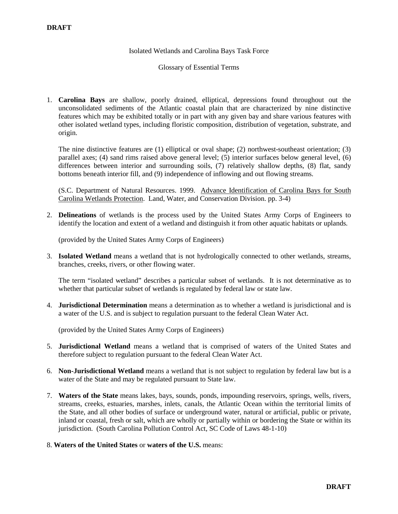### Isolated Wetlands and Carolina Bays Task Force

### Glossary of Essential Terms

1. **Carolina Bays** are shallow, poorly drained, elliptical, depressions found throughout out the unconsolidated sediments of the Atlantic coastal plain that are characterized by nine distinctive features which may be exhibited totally or in part with any given bay and share various features with other isolated wetland types, including floristic composition, distribution of vegetation, substrate, and origin.

The nine distinctive features are (1) elliptical or oval shape; (2) northwest-southeast orientation; (3) parallel axes; (4) sand rims raised above general level; (5) interior surfaces below general level, (6) differences between interior and surrounding soils, (7) relatively shallow depths, (8) flat, sandy bottoms beneath interior fill, and (9) independence of inflowing and out flowing streams.

(S.C. Department of Natural Resources. 1999. Advance Identification of Carolina Bays for South Carolina Wetlands Protection. Land, Water, and Conservation Division. pp. 3-4)

2. **Delineations** of wetlands is the process used by the United States Army Corps of Engineers to identify the location and extent of a wetland and distinguish it from other aquatic habitats or uplands.

(provided by the United States Army Corps of Engineers)

3. **Isolated Wetland** means a wetland that is not hydrologically connected to other wetlands, streams, branches, creeks, rivers, or other flowing water.

The term "isolated wetland" describes a particular subset of wetlands. It is not determinative as to whether that particular subset of wetlands is regulated by federal law or state law.

4. **Jurisdictional Determination** means a determination as to whether a wetland is jurisdictional and is a water of the U.S. and is subject to regulation pursuant to the federal Clean Water Act.

(provided by the United States Army Corps of Engineers)

- 5. **Jurisdictional Wetland** means a wetland that is comprised of waters of the United States and therefore subject to regulation pursuant to the federal Clean Water Act.
- 6. **Non-Jurisdictional Wetland** means a wetland that is not subject to regulation by federal law but is a water of the State and may be regulated pursuant to State law.
- 7. **Waters of the State** means lakes, bays, sounds, ponds, impounding reservoirs, springs, wells, rivers, streams, creeks, estuaries, marshes, inlets, canals, the Atlantic Ocean within the territorial limits of the State, and all other bodies of surface or underground water, natural or artificial, public or private, inland or coastal, fresh or salt, which are wholly or partially within or bordering the State or within its jurisdiction. (South Carolina Pollution Control Act, SC Code of Laws 48-1-10)
- 8. **Waters of the United States** or **waters of the U.S.** means: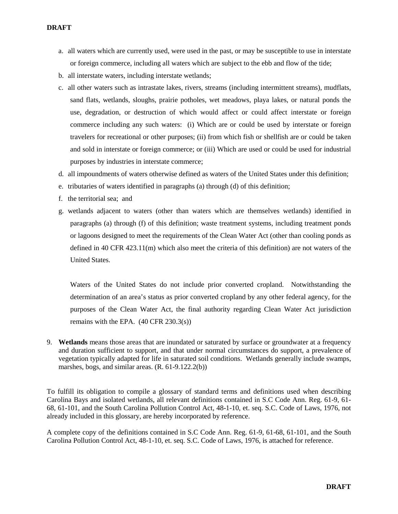- a. all waters which are currently used, were used in the past, or may be susceptible to use in interstate or foreign commerce, including all waters which are subject to the ebb and flow of the tide;
- b. all interstate waters, including interstate wetlands;
- c. all other waters such as intrastate lakes, rivers, streams (including intermittent streams), mudflats, sand flats, wetlands, sloughs, prairie potholes, wet meadows, playa lakes, or natural ponds the use, degradation, or destruction of which would affect or could affect interstate or foreign commerce including any such waters: (i) Which are or could be used by interstate or foreign travelers for recreational or other purposes; (ii) from which fish or shellfish are or could be taken and sold in interstate or foreign commerce; or (iii) Which are used or could be used for industrial purposes by industries in interstate commerce;
- d. all impoundments of waters otherwise defined as waters of the United States under this definition;
- e. tributaries of waters identified in paragraphs (a) through (d) of this definition;
- f. the territorial sea; and
- g. wetlands adjacent to waters (other than waters which are themselves wetlands) identified in paragraphs (a) through (f) of this definition; waste treatment systems, including treatment ponds or lagoons designed to meet the requirements of the Clean Water Act (other than cooling ponds as defined in 40 CFR 423.11(m) which also meet the criteria of this definition) are not waters of the United States.

Waters of the United States do not include prior converted cropland. Notwithstanding the determination of an area's status as prior converted cropland by any other federal agency, for the purposes of the Clean Water Act, the final authority regarding Clean Water Act jurisdiction remains with the EPA.  $(40 \text{ CFR } 230.3(s))$ 

9. **Wetlands** means those areas that are inundated or saturated by surface or groundwater at a frequency and duration sufficient to support, and that under normal circumstances do support, a prevalence of vegetation typically adapted for life in saturated soil conditions. Wetlands generally include swamps, marshes, bogs, and similar areas. (R. 61-9.122.2(b))

To fulfill its obligation to compile a glossary of standard terms and definitions used when describing Carolina Bays and isolated wetlands, all relevant definitions contained in S.C Code Ann. Reg. 61-9, 61- 68, 61-101, and the South Carolina Pollution Control Act, 48-1-10, et. seq. S.C. Code of Laws, 1976, not already included in this glossary, are hereby incorporated by reference.

A complete copy of the definitions contained in S.C Code Ann. Reg. 61-9, 61-68, 61-101, and the South Carolina Pollution Control Act, 48-1-10, et. seq. S.C. Code of Laws, 1976, is attached for reference.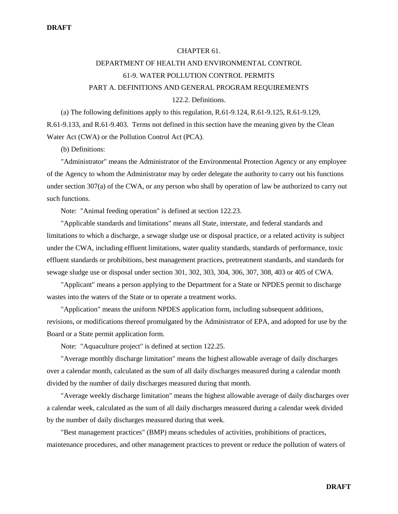### CHAPTER 61.

# DEPARTMENT OF HEALTH AND ENVIRONMENTAL CONTROL 61-9. WATER POLLUTION CONTROL PERMITS PART A. DEFINITIONS AND GENERAL PROGRAM REQUIREMENTS 122.2. Definitions.

(a) The following definitions apply to this regulation, R.61-9.124, R.61-9.125, R.61-9.129, R.61-9.133, and R.61-9.403. Terms not defined in this section have the meaning given by the Clean Water Act (CWA) or the Pollution Control Act (PCA).

(b) Definitions:

"Administrator" means the Administrator of the Environmental Protection Agency or any employee of the Agency to whom the Administrator may by order delegate the authority to carry out his functions under section 307(a) of the CWA, or any person who shall by operation of law be authorized to carry out such functions.

Note: "Animal feeding operation" is defined at section 122.23.

"Applicable standards and limitations" means all State, interstate, and federal standards and limitations to which a discharge, a sewage sludge use or disposal practice, or a related activity is subject under the CWA, including effluent limitations, water quality standards, standards of performance, toxic effluent standards or prohibitions, best management practices, pretreatment standards, and standards for sewage sludge use or disposal under section 301, 302, 303, 304, 306, 307, 308, 403 or 405 of CWA.

"Applicant" means a person applying to the Department for a State or NPDES permit to discharge wastes into the waters of the State or to operate a treatment works.

"Application" means the uniform NPDES application form, including subsequent additions, revisions, or modifications thereof promulgated by the Administrator of EPA, and adopted for use by the Board or a State permit application form.

Note: "Aquaculture project" is defined at section 122.25.

"Average monthly discharge limitation" means the highest allowable average of daily discharges over a calendar month, calculated as the sum of all daily discharges measured during a calendar month divided by the number of daily discharges measured during that month.

"Average weekly discharge limitation" means the highest allowable average of daily discharges over a calendar week, calculated as the sum of all daily discharges measured during a calendar week divided by the number of daily discharges measured during that week.

"Best management practices" (BMP) means schedules of activities, prohibitions of practices, maintenance procedures, and other management practices to prevent or reduce the pollution of waters of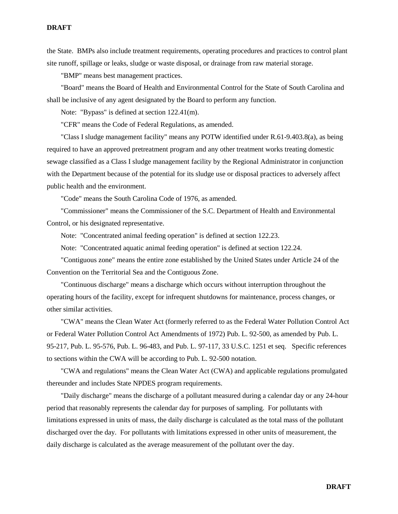the State. BMPs also include treatment requirements, operating procedures and practices to control plant site runoff, spillage or leaks, sludge or waste disposal, or drainage from raw material storage.

"BMP" means best management practices.

"Board" means the Board of Health and Environmental Control for the State of South Carolina and shall be inclusive of any agent designated by the Board to perform any function.

Note: "Bypass" is defined at section 122.41(m).

"CFR" means the Code of Federal Regulations, as amended.

"Class I sludge management facility" means any POTW identified under R.61-9.403.8(a), as being required to have an approved pretreatment program and any other treatment works treating domestic sewage classified as a Class I sludge management facility by the Regional Administrator in conjunction with the Department because of the potential for its sludge use or disposal practices to adversely affect public health and the environment.

"Code" means the South Carolina Code of 1976, as amended.

"Commissioner" means the Commissioner of the S.C. Department of Health and Environmental Control, or his designated representative.

Note: "Concentrated animal feeding operation" is defined at section 122.23.

Note: "Concentrated aquatic animal feeding operation" is defined at section 122.24.

"Contiguous zone" means the entire zone established by the United States under Article 24 of the Convention on the Territorial Sea and the Contiguous Zone.

"Continuous discharge" means a discharge which occurs without interruption throughout the operating hours of the facility, except for infrequent shutdowns for maintenance, process changes, or other similar activities.

"CWA" means the Clean Water Act (formerly referred to as the Federal Water Pollution Control Act or Federal Water Pollution Control Act Amendments of 1972) Pub. L. 92-500, as amended by Pub. L. 95-217, Pub. L. 95-576, Pub. L. 96-483, and Pub. L. 97-117, 33 U.S.C. 1251 et seq. Specific references to sections within the CWA will be according to Pub. L. 92-500 notation.

"CWA and regulations" means the Clean Water Act (CWA) and applicable regulations promulgated thereunder and includes State NPDES program requirements.

"Daily discharge" means the discharge of a pollutant measured during a calendar day or any 24-hour period that reasonably represents the calendar day for purposes of sampling. For pollutants with limitations expressed in units of mass, the daily discharge is calculated as the total mass of the pollutant discharged over the day. For pollutants with limitations expressed in other units of measurement, the daily discharge is calculated as the average measurement of the pollutant over the day.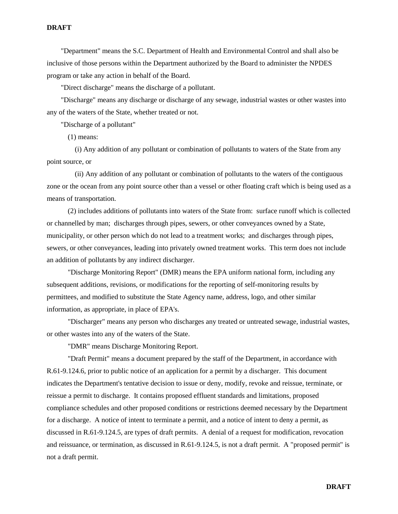"Department" means the S.C. Department of Health and Environmental Control and shall also be inclusive of those persons within the Department authorized by the Board to administer the NPDES program or take any action in behalf of the Board.

"Direct discharge" means the discharge of a pollutant.

"Discharge" means any discharge or discharge of any sewage, industrial wastes or other wastes into any of the waters of the State, whether treated or not.

"Discharge of a pollutant"

(1) means:

(i) Any addition of any pollutant or combination of pollutants to waters of the State from any point source, or

(ii) Any addition of any pollutant or combination of pollutants to the waters of the contiguous zone or the ocean from any point source other than a vessel or other floating craft which is being used as a means of transportation.

(2) includes additions of pollutants into waters of the State from: surface runoff which is collected or channelled by man; discharges through pipes, sewers, or other conveyances owned by a State, municipality, or other person which do not lead to a treatment works; and discharges through pipes, sewers, or other conveyances, leading into privately owned treatment works. This term does not include an addition of pollutants by any indirect discharger.

"Discharge Monitoring Report" (DMR) means the EPA uniform national form, including any subsequent additions, revisions, or modifications for the reporting of self-monitoring results by permittees, and modified to substitute the State Agency name, address, logo, and other similar information, as appropriate, in place of EPA's.

"Discharger" means any person who discharges any treated or untreated sewage, industrial wastes, or other wastes into any of the waters of the State.

"DMR" means Discharge Monitoring Report.

"Draft Permit" means a document prepared by the staff of the Department, in accordance with R.61-9.124.6, prior to public notice of an application for a permit by a discharger. This document indicates the Department's tentative decision to issue or deny, modify, revoke and reissue, terminate, or reissue a permit to discharge. It contains proposed effluent standards and limitations, proposed compliance schedules and other proposed conditions or restrictions deemed necessary by the Department for a discharge. A notice of intent to terminate a permit, and a notice of intent to deny a permit, as discussed in R.61-9.124.5, are types of draft permits. A denial of a request for modification, revocation and reissuance, or termination, as discussed in R.61-9.124.5, is not a draft permit. A "proposed permit" is not a draft permit.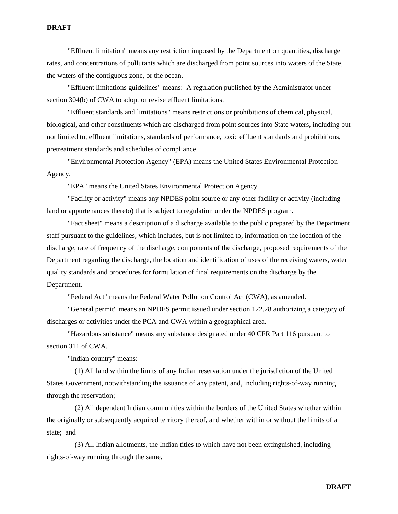"Effluent limitation" means any restriction imposed by the Department on quantities, discharge rates, and concentrations of pollutants which are discharged from point sources into waters of the State, the waters of the contiguous zone, or the ocean.

"Effluent limitations guidelines" means: A regulation published by the Administrator under section 304(b) of CWA to adopt or revise effluent limitations.

"Effluent standards and limitations" means restrictions or prohibitions of chemical, physical, biological, and other constituents which are discharged from point sources into State waters, including but not limited to, effluent limitations, standards of performance, toxic effluent standards and prohibitions, pretreatment standards and schedules of compliance.

"Environmental Protection Agency" (EPA) means the United States Environmental Protection Agency.

"EPA" means the United States Environmental Protection Agency.

"Facility or activity" means any NPDES point source or any other facility or activity (including land or appurtenances thereto) that is subject to regulation under the NPDES program.

"Fact sheet" means a description of a discharge available to the public prepared by the Department staff pursuant to the guidelines, which includes, but is not limited to, information on the location of the discharge, rate of frequency of the discharge, components of the discharge, proposed requirements of the Department regarding the discharge, the location and identification of uses of the receiving waters, water quality standards and procedures for formulation of final requirements on the discharge by the Department.

"Federal Act" means the Federal Water Pollution Control Act (CWA), as amended.

"General permit" means an NPDES permit issued under section 122.28 authorizing a category of discharges or activities under the PCA and CWA within a geographical area.

"Hazardous substance" means any substance designated under 40 CFR Part 116 pursuant to section 311 of CWA.

"Indian country" means:

(1) All land within the limits of any Indian reservation under the jurisdiction of the United States Government, notwithstanding the issuance of any patent, and, including rights-of-way running through the reservation;

(2) All dependent Indian communities within the borders of the United States whether within the originally or subsequently acquired territory thereof, and whether within or without the limits of a state; and

(3) All Indian allotments, the Indian titles to which have not been extinguished, including rights-of-way running through the same.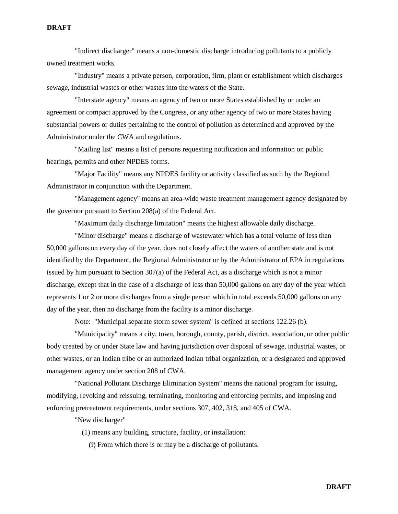"Indirect discharger" means a non-domestic discharge introducing pollutants to a publicly owned treatment works.

"Industry" means a private person, corporation, firm, plant or establishment which discharges sewage, industrial wastes or other wastes into the waters of the State.

"Interstate agency" means an agency of two or more States established by or under an agreement or compact approved by the Congress, or any other agency of two or more States having substantial powers or duties pertaining to the control of pollution as determined and approved by the Administrator under the CWA and regulations.

"Mailing list" means a list of persons requesting notification and information on public hearings, permits and other NPDES forms.

"Major Facility" means any NPDES facility or activity classified as such by the Regional Administrator in conjunction with the Department.

"Management agency" means an area-wide waste treatment management agency designated by the governor pursuant to Section 208(a) of the Federal Act.

"Maximum daily discharge limitation" means the highest allowable daily discharge.

"Minor discharge" means a discharge of wastewater which has a total volume of less than 50,000 gallons on every day of the year, does not closely affect the waters of another state and is not identified by the Department, the Regional Administrator or by the Administrator of EPA in regulations issued by him pursuant to Section 307(a) of the Federal Act, as a discharge which is not a minor discharge, except that in the case of a discharge of less than 50,000 gallons on any day of the year which represents 1 or 2 or more discharges from a single person which in total exceeds 50,000 gallons on any day of the year, then no discharge from the facility is a minor discharge.

Note: "Municipal separate storm sewer system" is defined at sections 122.26 (b).

"Municipality" means a city, town, borough, county, parish, district, association, or other public body created by or under State law and having jurisdiction over disposal of sewage, industrial wastes, or other wastes, or an Indian tribe or an authorized Indian tribal organization, or a designated and approved management agency under section 208 of CWA.

"National Pollutant Discharge Elimination System" means the national program for issuing, modifying, revoking and reissuing, terminating, monitoring and enforcing permits, and imposing and enforcing pretreatment requirements, under sections 307, 402, 318, and 405 of CWA.

"New discharger"

(1) means any building, structure, facility, or installation:

(i) From which there is or may be a discharge of pollutants.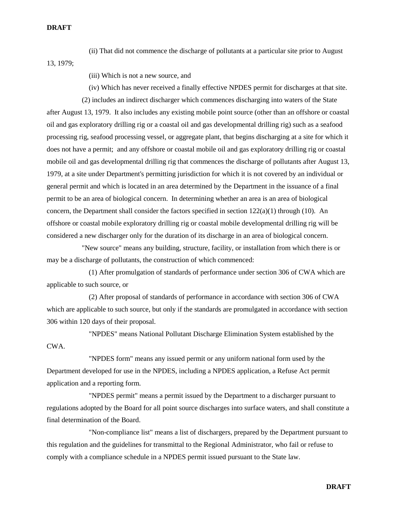(ii) That did not commence the discharge of pollutants at a particular site prior to August

13, 1979;

- (iii) Which is not a new source, and
- (iv) Which has never received a finally effective NPDES permit for discharges at that site.

(2) includes an indirect discharger which commences discharging into waters of the State after August 13, 1979. It also includes any existing mobile point source (other than an offshore or coastal oil and gas exploratory drilling rig or a coastal oil and gas developmental drilling rig) such as a seafood processing rig, seafood processing vessel, or aggregate plant, that begins discharging at a site for which it does not have a permit; and any offshore or coastal mobile oil and gas exploratory drilling rig or coastal mobile oil and gas developmental drilling rig that commences the discharge of pollutants after August 13, 1979, at a site under Department's permitting jurisdiction for which it is not covered by an individual or general permit and which is located in an area determined by the Department in the issuance of a final permit to be an area of biological concern. In determining whether an area is an area of biological concern, the Department shall consider the factors specified in section  $122(a)(1)$  through (10). An offshore or coastal mobile exploratory drilling rig or coastal mobile developmental drilling rig will be considered a new discharger only for the duration of its discharge in an area of biological concern.

"New source" means any building, structure, facility, or installation from which there is or may be a discharge of pollutants, the construction of which commenced:

(1) After promulgation of standards of performance under section 306 of CWA which are applicable to such source, or

(2) After proposal of standards of performance in accordance with section 306 of CWA which are applicable to such source, but only if the standards are promulgated in accordance with section 306 within 120 days of their proposal.

"NPDES" means National Pollutant Discharge Elimination System established by the CWA.

"NPDES form" means any issued permit or any uniform national form used by the Department developed for use in the NPDES, including a NPDES application, a Refuse Act permit application and a reporting form.

"NPDES permit" means a permit issued by the Department to a discharger pursuant to regulations adopted by the Board for all point source discharges into surface waters, and shall constitute a final determination of the Board.

"Non-compliance list" means a list of dischargers, prepared by the Department pursuant to this regulation and the guidelines for transmittal to the Regional Administrator, who fail or refuse to comply with a compliance schedule in a NPDES permit issued pursuant to the State law.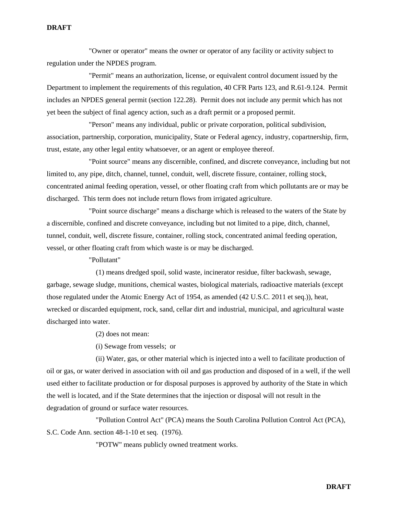"Owner or operator" means the owner or operator of any facility or activity subject to regulation under the NPDES program.

"Permit" means an authorization, license, or equivalent control document issued by the Department to implement the requirements of this regulation, 40 CFR Parts 123, and R.61-9.124. Permit includes an NPDES general permit (section 122.28). Permit does not include any permit which has not yet been the subject of final agency action, such as a draft permit or a proposed permit.

"Person" means any individual, public or private corporation, political subdivision, association, partnership, corporation, municipality, State or Federal agency, industry, copartnership, firm, trust, estate, any other legal entity whatsoever, or an agent or employee thereof.

"Point source" means any discernible, confined, and discrete conveyance, including but not limited to, any pipe, ditch, channel, tunnel, conduit, well, discrete fissure, container, rolling stock, concentrated animal feeding operation, vessel, or other floating craft from which pollutants are or may be discharged. This term does not include return flows from irrigated agriculture.

"Point source discharge" means a discharge which is released to the waters of the State by a discernible, confined and discrete conveyance, including but not limited to a pipe, ditch, channel, tunnel, conduit, well, discrete fissure, container, rolling stock, concentrated animal feeding operation, vessel, or other floating craft from which waste is or may be discharged.

"Pollutant"

(1) means dredged spoil, solid waste, incinerator residue, filter backwash, sewage, garbage, sewage sludge, munitions, chemical wastes, biological materials, radioactive materials (except those regulated under the Atomic Energy Act of 1954, as amended (42 U.S.C. 2011 et seq.)), heat, wrecked or discarded equipment, rock, sand, cellar dirt and industrial, municipal, and agricultural waste discharged into water.

(2) does not mean:

(i) Sewage from vessels; or

(ii) Water, gas, or other material which is injected into a well to facilitate production of oil or gas, or water derived in association with oil and gas production and disposed of in a well, if the well used either to facilitate production or for disposal purposes is approved by authority of the State in which the well is located, and if the State determines that the injection or disposal will not result in the degradation of ground or surface water resources.

"Pollution Control Act" (PCA) means the South Carolina Pollution Control Act (PCA), S.C. Code Ann. section 48-1-10 et seq. (1976).

"POTW" means publicly owned treatment works.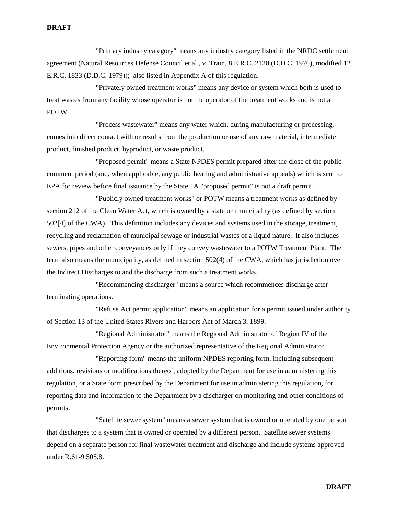"Primary industry category" means any industry category listed in the NRDC settlement agreement (Natural Resources Defense Council et al., v. Train, 8 E.R.C. 2120 (D.D.C. 1976), modified 12 E.R.C. 1833 (D.D.C. 1979)); also listed in Appendix A of this regulation.

"Privately owned treatment works" means any device or system which both is used to treat wastes from any facility whose operator is not the operator of the treatment works and is not a POTW.

"Process wastewater" means any water which, during manufacturing or processing, comes into direct contact with or results from the production or use of any raw material, intermediate product, finished product, byproduct, or waste product.

"Proposed permit" means a State NPDES permit prepared after the close of the public comment period (and, when applicable, any public hearing and administrative appeals) which is sent to EPA for review before final issuance by the State. A "proposed permit" is not a draft permit.

"Publicly owned treatment works" or POTW means a treatment works as defined by section 212 of the Clean Water Act, which is owned by a state or municipality (as defined by section 502[4] of the CWA). This definition includes any devices and systems used in the storage, treatment, recycling and reclamation of municipal sewage or industrial wastes of a liquid nature. It also includes sewers, pipes and other conveyances only if they convey wastewater to a POTW Treatment Plant. The term also means the municipality, as defined in section 502(4) of the CWA, which has jurisdiction over the Indirect Discharges to and the discharge from such a treatment works.

"Recommencing discharger" means a source which recommences discharge after terminating operations.

"Refuse Act permit application" means an application for a permit issued under authority of Section 13 of the United States Rivers and Harbors Act of March 3, 1899.

"Regional Administrator" means the Regional Administrator of Region IV of the Environmental Protection Agency or the authorized representative of the Regional Administrator.

"Reporting form" means the uniform NPDES reporting form, including subsequent additions, revisions or modifications thereof, adopted by the Department for use in administering this regulation, or a State form prescribed by the Department for use in administering this regulation, for reporting data and information to the Department by a discharger on monitoring and other conditions of permits.

"Satellite sewer system" means a sewer system that is owned or operated by one person that discharges to a system that is owned or operated by a different person. Satellite sewer systems depend on a separate person for final wastewater treatment and discharge and include systems approved under R.61-9.505.8.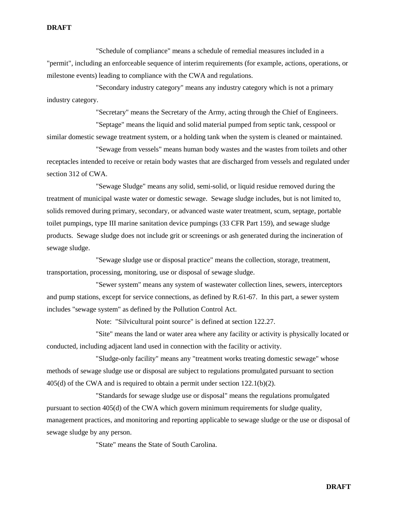"Schedule of compliance" means a schedule of remedial measures included in a "permit", including an enforceable sequence of interim requirements (for example, actions, operations, or milestone events) leading to compliance with the CWA and regulations.

"Secondary industry category" means any industry category which is not a primary industry category.

"Secretary" means the Secretary of the Army, acting through the Chief of Engineers.

"Septage" means the liquid and solid material pumped from septic tank, cesspool or similar domestic sewage treatment system, or a holding tank when the system is cleaned or maintained.

"Sewage from vessels" means human body wastes and the wastes from toilets and other receptacles intended to receive or retain body wastes that are discharged from vessels and regulated under section 312 of CWA.

"Sewage Sludge" means any solid, semi-solid, or liquid residue removed during the treatment of municipal waste water or domestic sewage. Sewage sludge includes, but is not limited to, solids removed during primary, secondary, or advanced waste water treatment, scum, septage, portable toilet pumpings, type III marine sanitation device pumpings (33 CFR Part 159), and sewage sludge products. Sewage sludge does not include grit or screenings or ash generated during the incineration of sewage sludge.

"Sewage sludge use or disposal practice" means the collection, storage, treatment, transportation, processing, monitoring, use or disposal of sewage sludge.

"Sewer system" means any system of wastewater collection lines, sewers, interceptors and pump stations, except for service connections, as defined by R.61-67. In this part, a sewer system includes "sewage system" as defined by the Pollution Control Act.

Note: "Silvicultural point source" is defined at section 122.27.

"Site" means the land or water area where any facility or activity is physically located or conducted, including adjacent land used in connection with the facility or activity.

"Sludge-only facility" means any "treatment works treating domestic sewage" whose methods of sewage sludge use or disposal are subject to regulations promulgated pursuant to section 405(d) of the CWA and is required to obtain a permit under section 122.1(b)(2).

"Standards for sewage sludge use or disposal" means the regulations promulgated pursuant to section 405(d) of the CWA which govern minimum requirements for sludge quality, management practices, and monitoring and reporting applicable to sewage sludge or the use or disposal of sewage sludge by any person.

"State" means the State of South Carolina.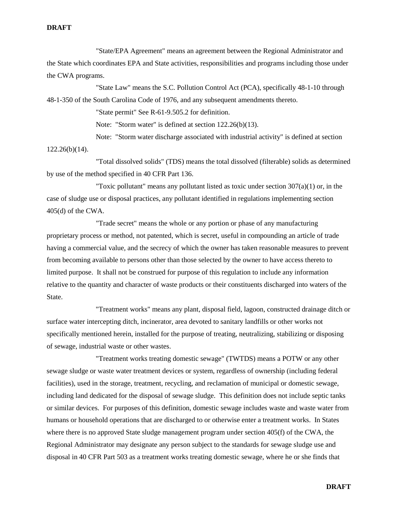"State/EPA Agreement" means an agreement between the Regional Administrator and the State which coordinates EPA and State activities, responsibilities and programs including those under the CWA programs.

"State Law" means the S.C. Pollution Control Act (PCA), specifically 48-1-10 through 48-1-350 of the South Carolina Code of 1976, and any subsequent amendments thereto.

"State permit" See R-61-9.505.2 for definition.

Note: "Storm water" is defined at section 122.26(b)(13).

Note: "Storm water discharge associated with industrial activity" is defined at section

122.26(b)(14).

"Total dissolved solids" (TDS) means the total dissolved (filterable) solids as determined by use of the method specified in 40 CFR Part 136.

"Toxic pollutant" means any pollutant listed as toxic under section  $307(a)(1)$  or, in the case of sludge use or disposal practices, any pollutant identified in regulations implementing section 405(d) of the CWA.

"Trade secret" means the whole or any portion or phase of any manufacturing proprietary process or method, not patented, which is secret, useful in compounding an article of trade having a commercial value, and the secrecy of which the owner has taken reasonable measures to prevent from becoming available to persons other than those selected by the owner to have access thereto to limited purpose. It shall not be construed for purpose of this regulation to include any information relative to the quantity and character of waste products or their constituents discharged into waters of the State.

"Treatment works" means any plant, disposal field, lagoon, constructed drainage ditch or surface water intercepting ditch, incinerator, area devoted to sanitary landfills or other works not specifically mentioned herein, installed for the purpose of treating, neutralizing, stabilizing or disposing of sewage, industrial waste or other wastes.

"Treatment works treating domestic sewage" (TWTDS) means a POTW or any other sewage sludge or waste water treatment devices or system, regardless of ownership (including federal facilities), used in the storage, treatment, recycling, and reclamation of municipal or domestic sewage, including land dedicated for the disposal of sewage sludge. This definition does not include septic tanks or similar devices. For purposes of this definition, domestic sewage includes waste and waste water from humans or household operations that are discharged to or otherwise enter a treatment works. In States where there is no approved State sludge management program under section 405(f) of the CWA, the Regional Administrator may designate any person subject to the standards for sewage sludge use and disposal in 40 CFR Part 503 as a treatment works treating domestic sewage, where he or she finds that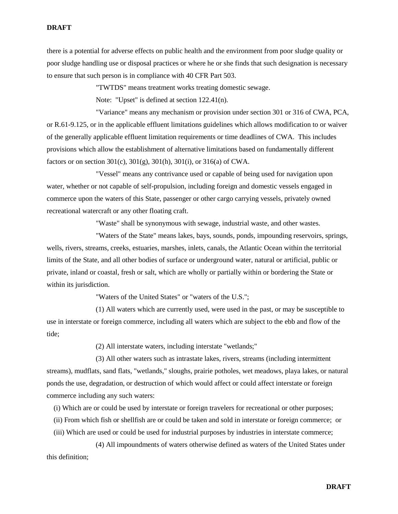there is a potential for adverse effects on public health and the environment from poor sludge quality or poor sludge handling use or disposal practices or where he or she finds that such designation is necessary to ensure that such person is in compliance with 40 CFR Part 503.

"TWTDS" means treatment works treating domestic sewage.

Note: "Upset" is defined at section 122.41(n).

"Variance" means any mechanism or provision under section 301 or 316 of CWA, PCA, or R.61-9.125, or in the applicable effluent limitations guidelines which allows modification to or waiver of the generally applicable effluent limitation requirements or time deadlines of CWA. This includes provisions which allow the establishment of alternative limitations based on fundamentally different factors or on section 301(c), 301(g), 301(h), 301(i), or 316(a) of CWA.

"Vessel" means any contrivance used or capable of being used for navigation upon water, whether or not capable of self-propulsion, including foreign and domestic vessels engaged in commerce upon the waters of this State, passenger or other cargo carrying vessels, privately owned recreational watercraft or any other floating craft.

"Waste" shall be synonymous with sewage, industrial waste, and other wastes.

"Waters of the State" means lakes, bays, sounds, ponds, impounding reservoirs, springs, wells, rivers, streams, creeks, estuaries, marshes, inlets, canals, the Atlantic Ocean within the territorial limits of the State, and all other bodies of surface or underground water, natural or artificial, public or private, inland or coastal, fresh or salt, which are wholly or partially within or bordering the State or within its jurisdiction.

"Waters of the United States" or "waters of the U.S.";

(1) All waters which are currently used, were used in the past, or may be susceptible to use in interstate or foreign commerce, including all waters which are subject to the ebb and flow of the tide;

(2) All interstate waters, including interstate "wetlands;"

(3) All other waters such as intrastate lakes, rivers, streams (including intermittent streams), mudflats, sand flats, "wetlands," sloughs, prairie potholes, wet meadows, playa lakes, or natural ponds the use, degradation, or destruction of which would affect or could affect interstate or foreign commerce including any such waters:

(i) Which are or could be used by interstate or foreign travelers for recreational or other purposes;

(ii) From which fish or shellfish are or could be taken and sold in interstate or foreign commerce; or

(iii) Which are used or could be used for industrial purposes by industries in interstate commerce;

(4) All impoundments of waters otherwise defined as waters of the United States under this definition;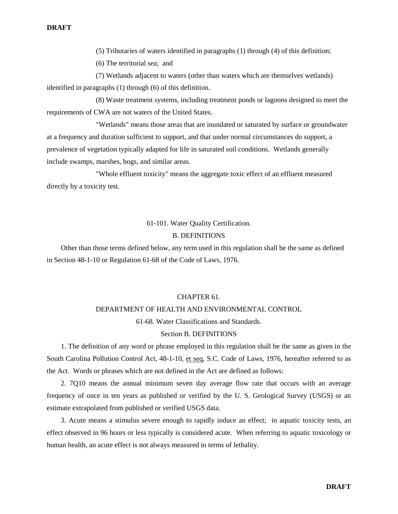(5) Tributaries of waters identified in paragraphs (1) through (4) of this definition;

(6) The territorial sea; and

(7) Wetlands adjacent to waters (other than waters which are themselves wetlands) identified in paragraphs (1) through (6) of this definition.

(8) Waste treatment systems, including treatment ponds or lagoons designed to meet the requirements of CWA are not waters of the United States.

"Wetlands" means those areas that are inundated or saturated by surface or groundwater at a frequency and duration sufficient to support, and that under normal circumstances do support, a prevalence of vegetation typically adapted for life in saturated soil conditions. Wetlands generally include swamps, marshes, bogs, and similar areas.

"Whole effluent toxicity" means the aggregate toxic effect of an effluent measured directly by a toxicity test.

### 61-101. Water Quality Certification.

### B. DEFINITIONS

Other than those terms defined below, any term used in this regulation shall be the same as defined in Section 48-1-10 or Regulation 61-68 of the Code of Laws, 1976.

### CHAPTER 61.

### DEPARTMENT OF HEALTH AND ENVIRONMENTAL CONTROL

61-68. Water Classifications and Standards.

### Section B. DEFINITIONS

1. The definition of any word or phrase employed in this regulation shall be the same as given in the South Carolina Pollution Control Act, 48-1-10, et seq, S.C. Code of Laws, 1976, hereafter referred to as the Act. Words or phrases which are not defined in the Act are defined as follows:

2. 7Q10 means the annual minimum seven day average flow rate that occurs with an average frequency of once in ten years as published or verified by the U. S. Geological Survey (USGS) or an estimate extrapolated from published or verified USGS data.

3. Acute means a stimulus severe enough to rapidly induce an effect; in aquatic toxicity tests, an effect observed in 96 hours or less typically is considered acute. When referring to aquatic toxicology or human health, an acute effect is not always measured in terms of lethality.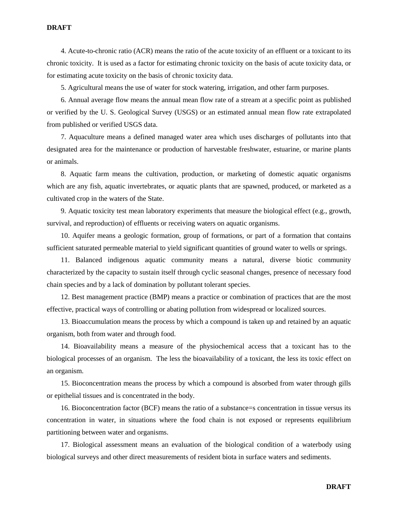4. Acute-to-chronic ratio (ACR) means the ratio of the acute toxicity of an effluent or a toxicant to its chronic toxicity. It is used as a factor for estimating chronic toxicity on the basis of acute toxicity data, or for estimating acute toxicity on the basis of chronic toxicity data.

5. Agricultural means the use of water for stock watering, irrigation, and other farm purposes.

6. Annual average flow means the annual mean flow rate of a stream at a specific point as published or verified by the U. S. Geological Survey (USGS) or an estimated annual mean flow rate extrapolated from published or verified USGS data.

7. Aquaculture means a defined managed water area which uses discharges of pollutants into that designated area for the maintenance or production of harvestable freshwater, estuarine, or marine plants or animals.

8. Aquatic farm means the cultivation, production, or marketing of domestic aquatic organisms which are any fish, aquatic invertebrates, or aquatic plants that are spawned, produced, or marketed as a cultivated crop in the waters of the State.

9. Aquatic toxicity test mean laboratory experiments that measure the biological effect (e.g., growth, survival, and reproduction) of effluents or receiving waters on aquatic organisms.

10. Aquifer means a geologic formation, group of formations, or part of a formation that contains sufficient saturated permeable material to yield significant quantities of ground water to wells or springs.

11. Balanced indigenous aquatic community means a natural, diverse biotic community characterized by the capacity to sustain itself through cyclic seasonal changes, presence of necessary food chain species and by a lack of domination by pollutant tolerant species.

12. Best management practice (BMP) means a practice or combination of practices that are the most effective, practical ways of controlling or abating pollution from widespread or localized sources.

13. Bioaccumulation means the process by which a compound is taken up and retained by an aquatic organism, both from water and through food.

14. Bioavailability means a measure of the physiochemical access that a toxicant has to the biological processes of an organism. The less the bioavailability of a toxicant, the less its toxic effect on an organism.

15. Bioconcentration means the process by which a compound is absorbed from water through gills or epithelial tissues and is concentrated in the body.

16. Bioconcentration factor (BCF) means the ratio of a substance=s concentration in tissue versus its concentration in water, in situations where the food chain is not exposed or represents equilibrium partitioning between water and organisms.

17. Biological assessment means an evaluation of the biological condition of a waterbody using biological surveys and other direct measurements of resident biota in surface waters and sediments.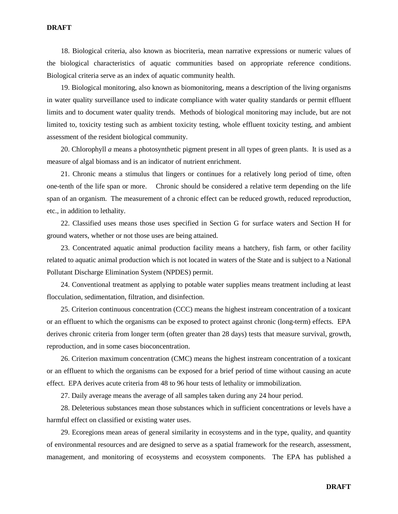18. Biological criteria, also known as biocriteria, mean narrative expressions or numeric values of the biological characteristics of aquatic communities based on appropriate reference conditions. Biological criteria serve as an index of aquatic community health.

19. Biological monitoring, also known as biomonitoring, means a description of the living organisms in water quality surveillance used to indicate compliance with water quality standards or permit effluent limits and to document water quality trends. Methods of biological monitoring may include, but are not limited to, toxicity testing such as ambient toxicity testing, whole effluent toxicity testing, and ambient assessment of the resident biological community.

20. Chlorophyll *a* means a photosynthetic pigment present in all types of green plants. It is used as a measure of algal biomass and is an indicator of nutrient enrichment.

21. Chronic means a stimulus that lingers or continues for a relatively long period of time, often one-tenth of the life span or more. Chronic should be considered a relative term depending on the life span of an organism. The measurement of a chronic effect can be reduced growth, reduced reproduction, etc., in addition to lethality.

22. Classified uses means those uses specified in Section G for surface waters and Section H for ground waters, whether or not those uses are being attained.

23. Concentrated aquatic animal production facility means a hatchery, fish farm, or other facility related to aquatic animal production which is not located in waters of the State and is subject to a National Pollutant Discharge Elimination System (NPDES) permit.

24. Conventional treatment as applying to potable water supplies means treatment including at least flocculation, sedimentation, filtration, and disinfection.

25. Criterion continuous concentration (CCC) means the highest instream concentration of a toxicant or an effluent to which the organisms can be exposed to protect against chronic (long-term) effects. EPA derives chronic criteria from longer term (often greater than 28 days) tests that measure survival, growth, reproduction, and in some cases bioconcentration.

26. Criterion maximum concentration (CMC) means the highest instream concentration of a toxicant or an effluent to which the organisms can be exposed for a brief period of time without causing an acute effect. EPA derives acute criteria from 48 to 96 hour tests of lethality or immobilization.

27. Daily average means the average of all samples taken during any 24 hour period.

28. Deleterious substances mean those substances which in sufficient concentrations or levels have a harmful effect on classified or existing water uses.

29. Ecoregions mean areas of general similarity in ecosystems and in the type, quality, and quantity of environmental resources and are designed to serve as a spatial framework for the research, assessment, management, and monitoring of ecosystems and ecosystem components. The EPA has published a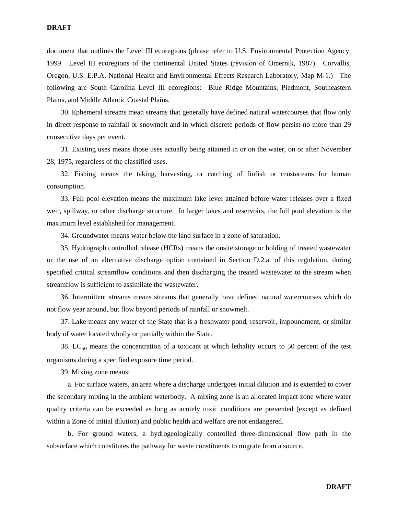document that outlines the Level III ecoregions (please refer to U.S. Environmental Protection Agency. 1999. Level III ecoregions of the continental United States (revision of Omernik, 1987). Corvallis, Oregon, U.S. E.P.A.-National Health and Environmental Effects Research Laboratory, Map M-1.) The following are South Carolina Level III ecoregions: Blue Ridge Mountains, Piedmont, Southeastern Plains, and Middle Atlantic Coastal Plains.

30. Ephemeral streams mean streams that generally have defined natural watercourses that flow only in direct response to rainfall or snowmelt and in which discrete periods of flow persist no more than 29 consecutive days per event.

31. Existing uses means those uses actually being attained in or on the water, on or after November 28, 1975, regardless of the classified uses.

32. Fishing means the taking, harvesting, or catching of finfish or crustaceans for human consumption.

33. Full pool elevation means the maximum lake level attained before water releases over a fixed weir, spillway, or other discharge structure. In larger lakes and reservoirs, the full pool elevation is the maximum level established for management.

34. Groundwater means water below the land surface in a zone of saturation.

35. Hydrograph controlled release (HCRs) means the onsite storage or holding of treated wastewater or the use of an alternative discharge option contained in Section D.2.a. of this regulation, during specified critical streamflow conditions and then discharging the treated wastewater to the stream when streamflow is sufficient to assimilate the wastewater.

36. Intermittent streams means streams that generally have defined natural watercourses which do not flow year around, but flow beyond periods of rainfall or snowmelt.

37. Lake means any water of the State that is a freshwater pond, reservoir, impoundment, or similar body of water located wholly or partially within the State.

38. LC $_{50}$  means the concentration of a toxicant at which lethality occurs to 50 percent of the test organisms during a specified exposure time period.

39. Mixing zone means:

a. For surface waters, an area where a discharge undergoes initial dilution and is extended to cover the secondary mixing in the ambient waterbody. A mixing zone is an allocated impact zone where water quality criteria can be exceeded as long as acutely toxic conditions are prevented (except as defined within a Zone of initial dilution) and public health and welfare are not endangered.

b. For ground waters, a hydrogeologically controlled three-dimensional flow path in the subsurface which constitutes the pathway for waste constituents to migrate from a source.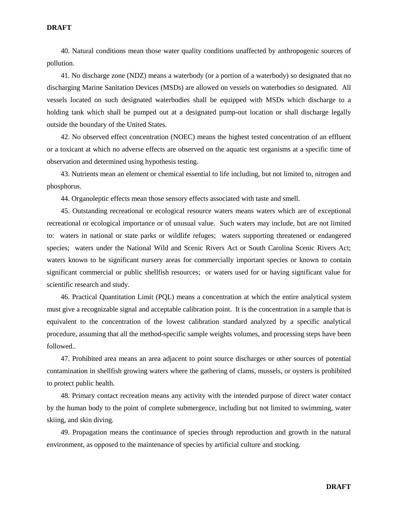40. Natural conditions mean those water quality conditions unaffected by anthropogenic sources of pollution.

41. No discharge zone (NDZ) means a waterbody (or a portion of a waterbody) so designated that no discharging Marine Sanitation Devices (MSDs) are allowed on vessels on waterbodies so designated. All vessels located on such designated waterbodies shall be equipped with MSDs which discharge to a holding tank which shall be pumped out at a designated pump-out location or shall discharge legally outside the boundary of the United States.

42. No observed effect concentration (NOEC) means the highest tested concentration of an effluent or a toxicant at which no adverse effects are observed on the aquatic test organisms at a specific time of observation and determined using hypothesis testing.

43. Nutrients mean an element or chemical essential to life including, but not limited to, nitrogen and phosphorus.

44. Organoleptic effects mean those sensory effects associated with taste and smell.

45. Outstanding recreational or ecological resource waters means waters which are of exceptional recreational or ecological importance or of unusual value. Such waters may include, but are not limited to: waters in national or state parks or wildlife refuges; waters supporting threatened or endangered species; waters under the National Wild and Scenic Rivers Act or South Carolina Scenic Rivers Act; waters known to be significant nursery areas for commercially important species or known to contain significant commercial or public shellfish resources; or waters used for or having significant value for scientific research and study.

46. Practical Quantitation Limit (PQL) means a concentration at which the entire analytical system must give a recognizable signal and acceptable calibration point. It is the concentration in a sample that is equivalent to the concentration of the lowest calibration standard analyzed by a specific analytical procedure, assuming that all the method-specific sample weights volumes, and processing steps have been followed..

47. Prohibited area means an area adjacent to point source discharges or other sources of potential contamination in shellfish growing waters where the gathering of clams, mussels, or oysters is prohibited to protect public health.

48. Primary contact recreation means any activity with the intended purpose of direct water contact by the human body to the point of complete submergence, including but not limited to swimming, water skiing, and skin diving.

49. Propagation means the continuance of species through reproduction and growth in the natural environment, as opposed to the maintenance of species by artificial culture and stocking.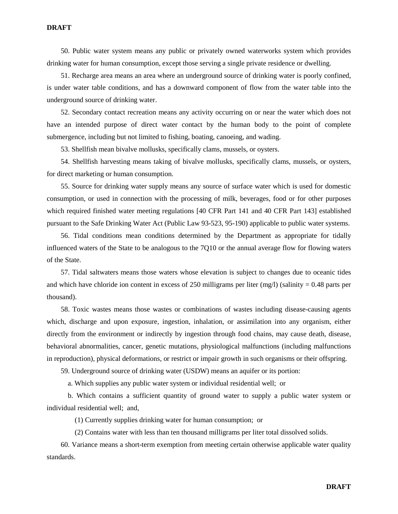50. Public water system means any public or privately owned waterworks system which provides drinking water for human consumption, except those serving a single private residence or dwelling.

51. Recharge area means an area where an underground source of drinking water is poorly confined, is under water table conditions, and has a downward component of flow from the water table into the underground source of drinking water.

52. Secondary contact recreation means any activity occurring on or near the water which does not have an intended purpose of direct water contact by the human body to the point of complete submergence, including but not limited to fishing, boating, canoeing, and wading.

53. Shellfish mean bivalve mollusks, specifically clams, mussels, or oysters.

54. Shellfish harvesting means taking of bivalve mollusks, specifically clams, mussels, or oysters, for direct marketing or human consumption.

55. Source for drinking water supply means any source of surface water which is used for domestic consumption, or used in connection with the processing of milk, beverages, food or for other purposes which required finished water meeting regulations [40 CFR Part 141 and 40 CFR Part 143] established pursuant to the Safe Drinking Water Act (Public Law 93-523, 95-190) applicable to public water systems.

56. Tidal conditions mean conditions determined by the Department as appropriate for tidally influenced waters of the State to be analogous to the 7Q10 or the annual average flow for flowing waters of the State.

57. Tidal saltwaters means those waters whose elevation is subject to changes due to oceanic tides and which have chloride ion content in excess of 250 milligrams per liter (mg/l) (salinity  $= 0.48$  parts per thousand).

58. Toxic wastes means those wastes or combinations of wastes including disease-causing agents which, discharge and upon exposure, ingestion, inhalation, or assimilation into any organism, either directly from the environment or indirectly by ingestion through food chains, may cause death, disease, behavioral abnormalities, cancer, genetic mutations, physiological malfunctions (including malfunctions in reproduction), physical deformations, or restrict or impair growth in such organisms or their offspring.

59. Underground source of drinking water (USDW) means an aquifer or its portion:

a. Which supplies any public water system or individual residential well; or

b. Which contains a sufficient quantity of ground water to supply a public water system or individual residential well; and,

(1) Currently supplies drinking water for human consumption; or

(2) Contains water with less than ten thousand milligrams per liter total dissolved solids.

60. Variance means a short-term exemption from meeting certain otherwise applicable water quality standards.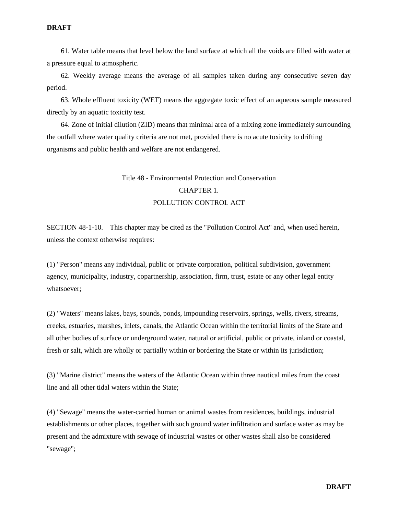61. Water table means that level below the land surface at which all the voids are filled with water at a pressure equal to atmospheric.

62. Weekly average means the average of all samples taken during any consecutive seven day period.

63. Whole effluent toxicity (WET) means the aggregate toxic effect of an aqueous sample measured directly by an aquatic toxicity test.

64. Zone of initial dilution (ZID) means that minimal area of a mixing zone immediately surrounding the outfall where water quality criteria are not met, provided there is no acute toxicity to drifting organisms and public health and welfare are not endangered.

## Title 48 - Environmental Protection and Conservation CHAPTER 1. POLLUTION CONTROL ACT

SECTION 48-1-10. This chapter may be cited as the "Pollution Control Act" and, when used herein, unless the context otherwise requires:

(1) "Person" means any individual, public or private corporation, political subdivision, government agency, municipality, industry, copartnership, association, firm, trust, estate or any other legal entity whatsoever;

(2) "Waters" means lakes, bays, sounds, ponds, impounding reservoirs, springs, wells, rivers, streams, creeks, estuaries, marshes, inlets, canals, the Atlantic Ocean within the territorial limits of the State and all other bodies of surface or underground water, natural or artificial, public or private, inland or coastal, fresh or salt, which are wholly or partially within or bordering the State or within its jurisdiction;

(3) "Marine district" means the waters of the Atlantic Ocean within three nautical miles from the coast line and all other tidal waters within the State;

(4) "Sewage" means the water-carried human or animal wastes from residences, buildings, industrial establishments or other places, together with such ground water infiltration and surface water as may be present and the admixture with sewage of industrial wastes or other wastes shall also be considered "sewage";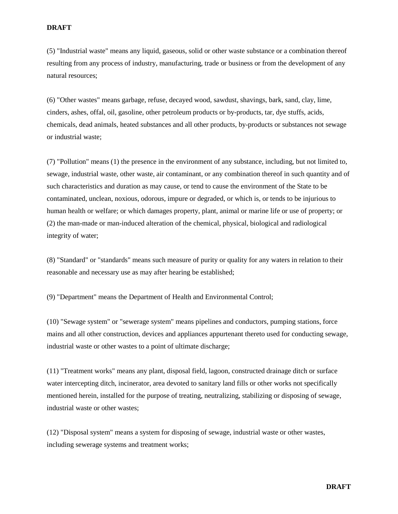(5) "Industrial waste" means any liquid, gaseous, solid or other waste substance or a combination thereof resulting from any process of industry, manufacturing, trade or business or from the development of any natural resources;

(6) "Other wastes" means garbage, refuse, decayed wood, sawdust, shavings, bark, sand, clay, lime, cinders, ashes, offal, oil, gasoline, other petroleum products or by-products, tar, dye stuffs, acids, chemicals, dead animals, heated substances and all other products, by-products or substances not sewage or industrial waste;

(7) "Pollution" means (1) the presence in the environment of any substance, including, but not limited to, sewage, industrial waste, other waste, air contaminant, or any combination thereof in such quantity and of such characteristics and duration as may cause, or tend to cause the environment of the State to be contaminated, unclean, noxious, odorous, impure or degraded, or which is, or tends to be injurious to human health or welfare; or which damages property, plant, animal or marine life or use of property; or (2) the man-made or man-induced alteration of the chemical, physical, biological and radiological integrity of water;

(8) "Standard" or "standards" means such measure of purity or quality for any waters in relation to their reasonable and necessary use as may after hearing be established;

(9) "Department" means the Department of Health and Environmental Control;

(10) "Sewage system" or "sewerage system" means pipelines and conductors, pumping stations, force mains and all other construction, devices and appliances appurtenant thereto used for conducting sewage, industrial waste or other wastes to a point of ultimate discharge;

(11) "Treatment works" means any plant, disposal field, lagoon, constructed drainage ditch or surface water intercepting ditch, incinerator, area devoted to sanitary land fills or other works not specifically mentioned herein, installed for the purpose of treating, neutralizing, stabilizing or disposing of sewage, industrial waste or other wastes;

(12) "Disposal system" means a system for disposing of sewage, industrial waste or other wastes, including sewerage systems and treatment works;